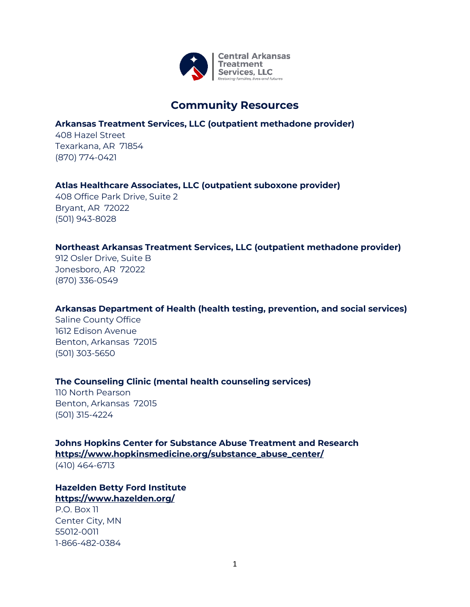

## **Community Resources**

## **Arkansas Treatment Services, LLC (outpatient methadone provider)**

408 Hazel Street Texarkana, AR 71854 (870) 774-0421

## **Atlas Healthcare Associates, LLC (outpatient suboxone provider)**

408 Office Park Drive, Suite 2 Bryant, AR 72022 (501) 943-8028

## **Northeast Arkansas Treatment Services, LLC (outpatient methadone provider)**

912 Osler Drive, Suite B Jonesboro, AR 72022 (870) 336-0549

## **Arkansas Department of Health (health testing, prevention, and social services)**

Saline County Office 1612 Edison Avenue Benton, Arkansas 72015 (501) 303-5650

## **The Counseling Clinic (mental health counseling services)**

110 North Pearson Benton, Arkansas 72015 (501) 315-4224

**Johns Hopkins Center for Substance Abuse Treatment and Research https://www.hopkinsmedicine.org/substance\_abuse\_center/** (410) 464-6713

## **Hazelden Betty Ford Institute <https://www.hazelden.org/>**

P.O. Box 11 Center City, MN 55012-0011 1-866-482-0384